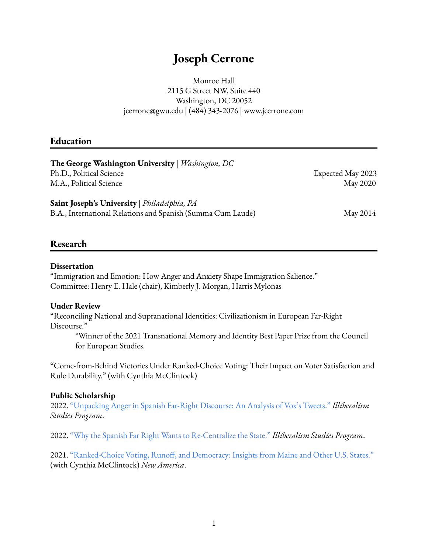# **Joseph Cerrone**

Monroe Hall 2115 G Street NW, Suite 440 Washington, DC 20052 [jcerrone@gwu.edu](mailto:jcerrone@gwu.edu) | (484) 343-2076 | [www.jcerrone.com](http://www.jcerrone.com)

## **Education**

| <b>The George Washington University</b>   <i>Washington</i> , <i>DC</i> |                   |
|-------------------------------------------------------------------------|-------------------|
| Ph.D., Political Science                                                | Expected May 2023 |
| M.A., Political Science                                                 | May 2020          |
| Saint Joseph's University   Philadelphia, PA                            |                   |
| B.A., International Relations and Spanish (Summa Cum Laude)             | May 2014          |

## **Research**

#### **Dissertation**

"Immigration and Emotion: How Anger and Anxiety Shape Immigration Salience." Committee: Henry E. Hale (chair), Kimberly J. Morgan, Harris Mylonas

#### **Under Review**

"Reconciling National and Supranational Identities: Civilizationism in European Far-Right Discourse."

\*Winner of the 2021 Transnational Memory and Identity Best Paper Prize from the Council for European Studies.

"Come-from-Behind Victories Under Ranked-Choice Voting: Their Impact on Voter Satisfaction and Rule Durability." (with Cynthia McClintock)

#### **Public Scholarship**

2022. ["Unpacking](https://www.illiberalism.org/unpacking-anger-in-spanish-far-right-discourse-an-analysis-of-voxs-tweets/) Anger in Spanish Far-Right Discourse: An Analysis of Vox's Tweets." *Illiberalism Studies Program*.

2022. "Why the Spanish Far Right Wants to [Re-Centralize](https://www.illiberalism.org/why-the-spanish-far-right-wants-to-re-centralize-the-state/) the State." *Illiberalism Studies Program*.

2021. ["Ranked-Choice](https://www.newamerica.org/political-reform/reports/ranked-choice-voting-runoff-and-democracy/) Voting, Runoff, and Democracy: Insights from Maine and Other U.S. States." (with Cynthia McClintock) *New America*.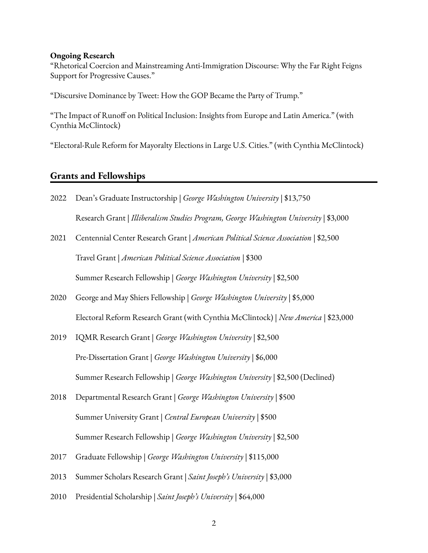#### **Ongoing Research**

"Rhetorical Coercion and Mainstreaming Anti-Immigration Discourse: Why the Far Right Feigns Support for Progressive Causes."

"Discursive Dominance by Tweet: How the GOP Became the Party of Trump."

"The Impact of Runoff on Political Inclusion: Insights from Europe and Latin America." (with Cynthia McClintock)

"Electoral-Rule Reform for Mayoralty Elections in Large U.S. Cities." (with Cynthia McClintock)

## **Grants and Fellowships**

- 2022 Dean's Graduate Instructorship | *George Washington University* | \$13,750 Research Grant | *Illiberalism Studies Program, George Washington University* | \$3,000
- 2021 Centennial Center Research Grant | *American Political Science Association* | \$2,500 Travel Grant | *American Political Science Association* | \$300 Summer Research Fellowship | *George Washington University* | \$2,500
- 2020 George and May Shiers Fellowship | *George Washington University* | \$5,000 Electoral Reform Research Grant (with Cynthia McClintock) | *New America* | \$23,000
- 2019 IQMR Research Grant | *George Washington University* | \$2,500 Pre-Dissertation Grant | *George Washington University* | \$6,000 Summer Research Fellowship | *George Washington University* | \$2,500 (Declined)
- 2018 Departmental Research Grant | *George Washington University* | \$500 Summer University Grant | *Central European University* | \$500 Summer Research Fellowship | *George Washington University* | \$2,500
- 2017 Graduate Fellowship | *George Washington University* | \$115,000
- 2013 Summer Scholars Research Grant | *Saint Joseph's University* | \$3,000
- 2010 Presidential Scholarship | *Saint Joseph's University* | \$64,000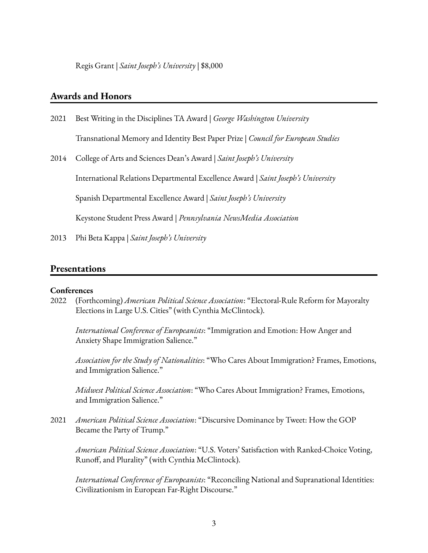Regis Grant | *Saint Joseph's University* | \$8,000

## **Awards and Honors**

- 2021 Best Writing in the Disciplines TA Award | *George Washington University* Transnational Memory and Identity Best Paper Prize | *Council for European Studies*
- 2014 College of Arts and Sciences Dean's Award | *Saint Joseph's University*

International Relations Departmental Excellence Award | *Saint Joseph's University*

Spanish Departmental Excellence Award | *Saint Joseph's University*

Keystone Student Press Award | *Pennsylvania NewsMedia Association*

2013 Phi Beta Kappa | *Saint Joseph's University*

## **Presentations**

#### **Conferences**

2022 (Forthcoming) *American Political Science Association*: "Electoral-Rule Reform for Mayoralty Elections in Large U.S. Cities" (with Cynthia McClintock).

*International Conference of Europeanists*: "Immigration and Emotion: How Anger and Anxiety Shape Immigration Salience."

*Association for the Study of Nationalities*: "Who Cares About Immigration? Frames, Emotions, and Immigration Salience."

*Midwest Political Science Association*: "Who Cares About Immigration? Frames, Emotions, and Immigration Salience."

2021 *American Political Science Association*: "Discursive Dominance by Tweet: How the GOP Became the Party of Trump."

*American Political Science Association*: "U.S. Voters' Satisfaction with Ranked-Choice Voting, Runoff, and Plurality" (with Cynthia McClintock).

*International Conference of Europeanists*: "Reconciling National and Supranational Identities: Civilizationism in European Far-Right Discourse."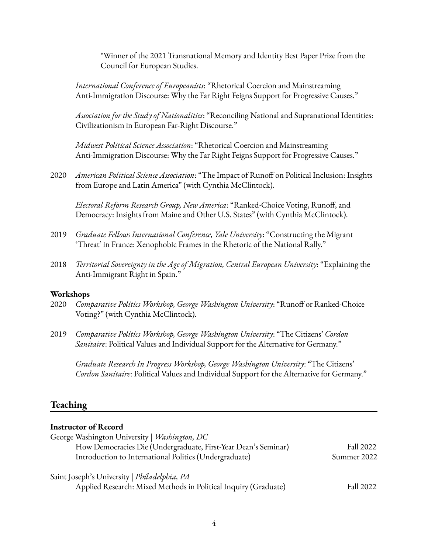\*Winner of the 2021 Transnational Memory and Identity Best Paper Prize from the Council for European Studies.

*International Conference of Europeanists*: "Rhetorical Coercion and Mainstreaming Anti-Immigration Discourse: Why the Far Right Feigns Support for Progressive Causes."

*Association for the Study of Nationalities*: "Reconciling National and Supranational Identities: Civilizationism in European Far-Right Discourse."

*Midwest Political Science Association*: "Rhetorical Coercion and Mainstreaming Anti-Immigration Discourse: Why the Far Right Feigns Support for Progressive Causes."

2020 *American Political Science Association*: "The Impact of Runoff on Political Inclusion: Insights from Europe and Latin America" (with Cynthia McClintock).

*Electoral Reform Research Group, New America*: "Ranked-Choice Voting, Runoff, and Democracy: Insights from Maine and Other U.S. States" (with Cynthia McClintock).

- 2019 *Graduate Fellows International Conference, Yale University*: "Constructing the Migrant 'Threat' in France: Xenophobic Frames in the Rhetoric of the National Rally."
- 2018 *Territorial Sovereignty in the Age of Migration, Central European University*: "Explaining the Anti-Immigrant Right in Spain."

#### **Workshops**

- 2020 *Comparative Politics Workshop, George Washington University*: "Runoff or Ranked-Choice Voting?" (with Cynthia McClintock).
- 2019 *Comparative Politics Workshop, George Washington University*: "The Citizens' *Cordon Sanitaire*: Political Values and Individual Support for the Alternative for Germany."

*Graduate Research In Progress Workshop, George Washington University*: "The Citizens' *Cordon Sanitaire*: Political Values and Individual Support for the Alternative for Germany."

## **Teaching**

## **Instructor of Record** George Washington University | *Washington, DC* How Democracies Die (Undergraduate, First-Year Dean's Seminar) Fall 2022 Introduction to International Politics (Undergraduate) Summer 2022 Saint Joseph's University | *Philadelphia, PA* Applied Research: Mixed Methods in Political Inquiry (Graduate) Fall 2022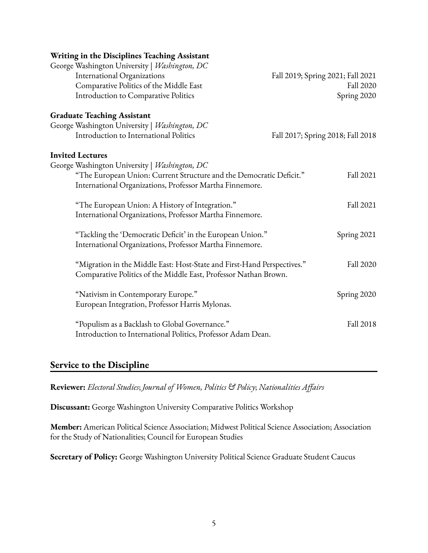| Writing in the Disciplines Teaching Assistant                           |                                   |
|-------------------------------------------------------------------------|-----------------------------------|
| George Washington University   Washington, DC                           |                                   |
| <b>International Organizations</b>                                      | Fall 2019; Spring 2021; Fall 2021 |
| Comparative Politics of the Middle East                                 | Fall 2020                         |
| Introduction to Comparative Politics                                    | Spring 2020                       |
| <b>Graduate Teaching Assistant</b>                                      |                                   |
| George Washington University   Washington, DC                           |                                   |
| Introduction to International Politics                                  | Fall 2017; Spring 2018; Fall 2018 |
| <b>Invited Lectures</b>                                                 |                                   |
| George Washington University   Washington, DC                           |                                   |
| "The European Union: Current Structure and the Democratic Deficit."     | Fall 2021                         |
| International Organizations, Professor Martha Finnemore.                |                                   |
| "The European Union: A History of Integration."                         | Fall 2021                         |
| International Organizations, Professor Martha Finnemore.                |                                   |
| "Tackling the 'Democratic Deficit' in the European Union."              | Spring 2021                       |
| International Organizations, Professor Martha Finnemore.                |                                   |
| "Migration in the Middle East: Host-State and First-Hand Perspectives." | Fall 2020                         |
| Comparative Politics of the Middle East, Professor Nathan Brown.        |                                   |
| "Nativism in Contemporary Europe."                                      | Spring 2020                       |
| European Integration, Professor Harris Mylonas.                         |                                   |
| "Populism as a Backlash to Global Governance."                          | <b>Fall 2018</b>                  |
| Introduction to International Politics, Professor Adam Dean.            |                                   |
|                                                                         |                                   |

## **Service to the Discipline**

**Reviewer:** *Electoral Studies*; *Journal of Women, Politics & Policy*; *Nationalities Affairs*

**Discussant:** George Washington University Comparative Politics Workshop

**Member:** American Political Science Association; Midwest Political Science Association; Association for the Study of Nationalities; Council for European Studies

**Secretary of Policy:** George Washington University Political Science Graduate Student Caucus